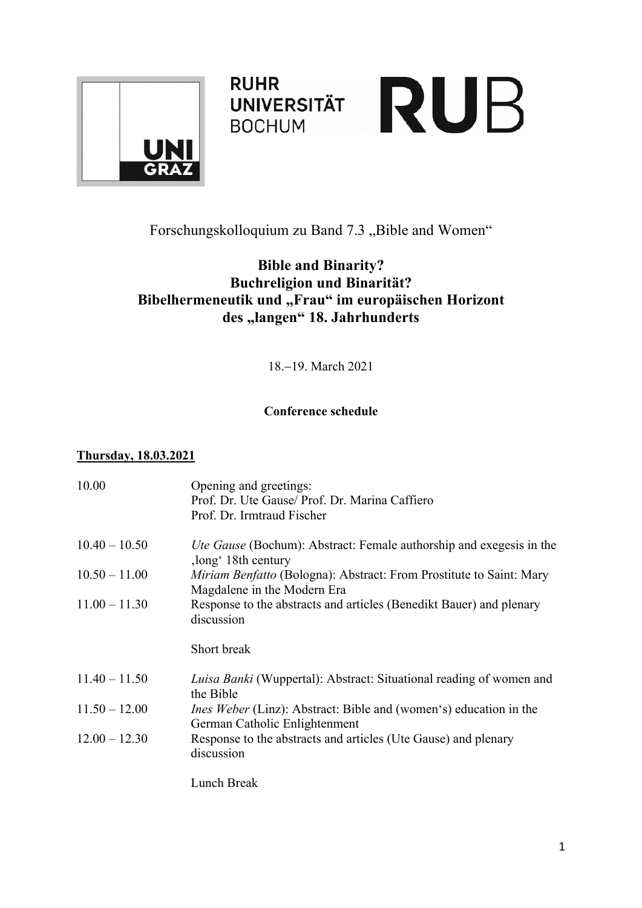

**RUHR RUHR<br>BOCHUM RUB BOCHUM** 



## **Bible and Binarity? Buchreligion und Binarität?** Bibelhermeneutik und "Frau" im europäischen Horizont des "langen" 18. Jahrhunderts

18.-19. March 2021

## **Conference schedule**

## **Thursday, 18.03.2021**

| 10.00           | Opening and greetings:<br>Prof. Dr. Ute Gause/ Prof. Dr. Marina Caffiero<br>Prof. Dr. Irmtraud Fischer    |
|-----------------|-----------------------------------------------------------------------------------------------------------|
| $10.40 - 10.50$ | <i>Ute Gause</i> (Bochum): Abstract: Female authorship and exegesis in the<br>,long' 18th century         |
| $10.50 - 11.00$ | <i>Miriam Benfatto</i> (Bologna): Abstract: From Prostitute to Saint: Mary<br>Magdalene in the Modern Era |
| $11.00 - 11.30$ | Response to the abstracts and articles (Benedikt Bauer) and plenary<br>discussion                         |
|                 | Short break                                                                                               |
| $11.40 - 11.50$ | Luisa Banki (Wuppertal): Abstract: Situational reading of women and<br>the Bible                          |
| $11.50 - 12.00$ | Ines Weber (Linz): Abstract: Bible and (women's) education in the<br>German Catholic Enlightenment        |
| $12.00 - 12.30$ | Response to the abstracts and articles (Ute Gause) and plenary<br>discussion                              |
|                 | Lunch Break                                                                                               |